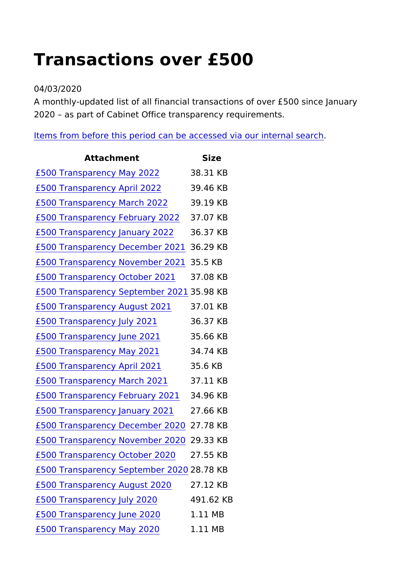## Transactions over £500

## 04/03/2020

A monthly-updated list of all financial transactions of over £500 2020 as part of Cabinet Office transparency requirements.

[Items from before this period can be accessed vi](https://www.heritagefund.org.uk/search?keys=Transactions+over+£500+)a our internal

Attachment Size [£500 Transparency M](https://www.heritagefund.org.uk/sites/default/files/media/attachments/£500 Transparency May 22_0.xlsx)ay 2032.31 KB [£500 Transparency Ap](https://www.heritagefund.org.uk/sites/default/files/media/attachments/£500 Transparency Apr 22.xlsx)ril 202246 KB [£500 Transparency Ma](https://www.heritagefund.org.uk/sites/default/files/media/attachments/£500 Transparency Mar 22.xlsx)rch 39229 KB [£500 Transparency Febru](https://www.heritagefund.org.uk/sites/default/files/media/attachments/£500 Transparency Feb 22.xlsx)a87.2072KB [£500 Transparency Janu](https://www.heritagefund.org.uk/sites/default/files/media/attachments/£500 Transparency Jan 22.xlsx)ar \$62 3 22 K B [£500 Transparency Decem](https://www.heritagefund.org.uk/sites/default/files/media/attachments/£500 Transparency Dec 21.xlsx) Sof. 2290 XB [£500 Transparency Novem](https://www.heritagefund.org.uk/sites/default/files/media/attachments/£500 Transparency Nov 21.xlsx) Sof. 52 KB1 [£500 Transparency Octo](https://www.heritagefund.org.uk/sites/default/files/media/attachments/£500 Transparency Oct 21.xlsx)be372081KB [£500 Transparency Septem](https://www.heritagefund.org.uk/sites/default/files/media/attachments/£500 Transparency Sept 21.xlsx)3b5e.19 & OK2B [£500 Transparency Aug](https://www.heritagefund.org.uk/sites/default/files/media/attachments/£500 Transparency August 21.xlsx)ust 37001 KB [£500 Transparency J](https://www.heritagefund.org.uk/sites/default/files/media/attachments/£500 Transparency July 21_0.xlsx)uly 203261.37 KB [£500 Transparency Ju](https://www.heritagefund.org.uk/sites/default/files/media/attachments/500 Transparency June 21.xlsx)ne 203166 KB [£500 Transparency M](https://www.heritagefund.org.uk/sites/default/files/media/attachments/£500 Transparency May 2021.xlsx)ay 2024.74 KB [£500 Transparency Ap](https://www.heritagefund.org.uk/sites/default/files/media/attachments/£500 Transparency April 2021.xlsx)ril 20216 KB [£500 Transparency Ma](https://www.heritagefund.org.uk/sites/default/files/media/attachments/£500 Transparency March  2021.xlsx)rch 30211 KB [£500 Transparency Febru](https://www.heritagefund.org.uk/sites/default/files/media/attachments/£500 Transparency Feb 21.xlsx)a 34.2062KB [£500 Transparency Janu](https://www.heritagefund.org.uk/sites/default/files/media/attachments/£500 Transparency Jan 21 .xlsx)ar 272681KB [£500 Transparency Decem](https://www.heritagefund.org.uk/sites/default/files/media/attachments/£500 Transparency Dec 20_0.xlsx) 207r. 7280 XCB [£500 Transparency Novem](https://www.heritagefund.org.uk/sites/default/files/media/attachments/£500 Transparency Nov 20.xlsx) 200r. 3230 XOB [£500 Transparency Octo](https://www.heritagefund.org.uk/sites/default/files/media/attachments/500 Transparency Oct 2020.xlsx)be272530KB [£500 Transparency Septem](https://www.heritagefund.org.uk/sites/default/files/media/attachments/£500 Transparency Sept 20_0.xlsx)2b8er7 & OK2B [£500 Transparency Aug](https://www.heritagefund.org.uk/sites/default/files/media/attachments/£500 Transparency August 2020_0.xlsx)ust 27020 KB [£500 Transparency J](https://www.heritagefund.org.uk/sites/default/files/media/attachments/£500 Transparency Jul 20.xlsx)uly 2042901.62 KB [£500 Transparency Ju](https://www.heritagefund.org.uk/sites/default/files/media/attachments/£500 Transparency Jun 20.xlsx)ne 20201 MB [£500 Transparency M](https://www.heritagefund.org.uk/sites/default/files/media/attachments/500 Transparency May 2020.xlsx)ay 202.011 MB